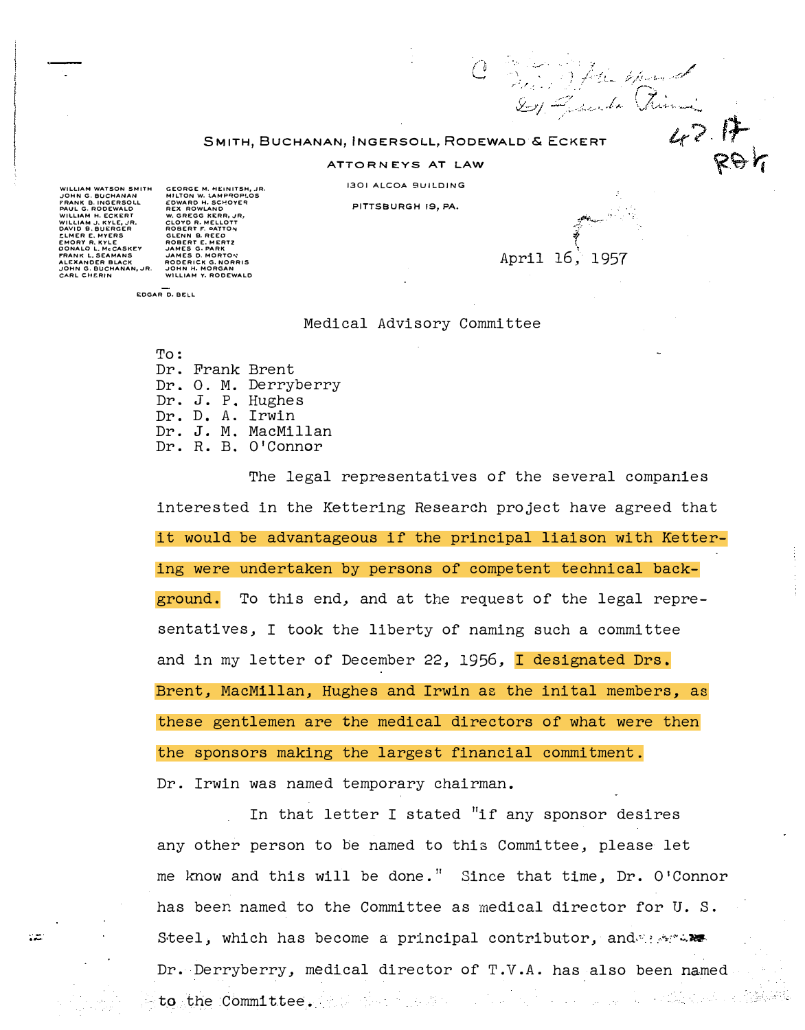## SMITH, BUCHANAN, INGERSOLL, RODEWALD & ECKERT

## ATTORNEYS AT LAW

<sup>1301</sup>ALCOA BUILDING

PITTSBURGH 19, PA.

WILLIAM WATSON SMITH<br>JOHN G. BUCHANAN<br>FRANK B. INGERSOLL<br>PAUL G. RODEWALD<br>WILLIAM H. ECKERT WILLIAM J. KYLE, JR. ..................<br>DD 8. BUERGER **IER E. MYERS** EMORY R. KYLE DONALD L. McCASKEY NK L. SEAMANS **XANDER BLAC** JOHN G. BUCHANAN, JR.<br>CARL CHERIN

χz.

GEORGE M. HEINITSH, JR.<br>MILTON W. LAMPROPLOS<br>ENGARO H. SCHOVER<br>REX ROWLAND<br>REX ROWLAND<br>CLOYD R. MELLOTT<br>CLOYD R. MELLOTT<br>GEORGER E. MERTZ<br>GEORGER E. MORTON<br>JAMES G. PARK<br>JAMES G. PARK<br>JAMES G. PARK<br>RODERICK G. NORRIS<br>RODER

EDGAR D. BE:LL

## Medical Advisory Committee

r<br>T April 16; 1957

C Sing Stale Mand

 $42.17$ <br>RO

To: Dr. Frank Brent Dr. 0. M. Derryberry Dr. J. P. Hughes Dr. D. A. Irwin Dr. J. M. MacMillan Dr. R. B. O'Connor

The legal representatives of the several companies interested in the Kettering Research project have agreed that it would be advantageous if the principal liaison with Kettering were undertaken by persons of competent technical background. To this end, and at the request of the legal representatives, I took the liberty of naming such a committee and in my letter of December 22, 1956, I designated Drs. Brent, MacMillan, Hughes and Irwin as the inital members, as these gentlemen are the medical directors of what were then the sponsors making the largest financial commitment. Dr. Irwin was named temporary chairman.

In that letter I stated "if any sponsor desires any other person to be named to this Committee, please let me know and this will be done." Since that time, Dr. O'Connor has been named to the Committee as medical director for U. S. Steel, which has become a principal contributor, and the set Dr. Derryberry, medical director of T.V.A. has also been named 2012年4月 to the Committee.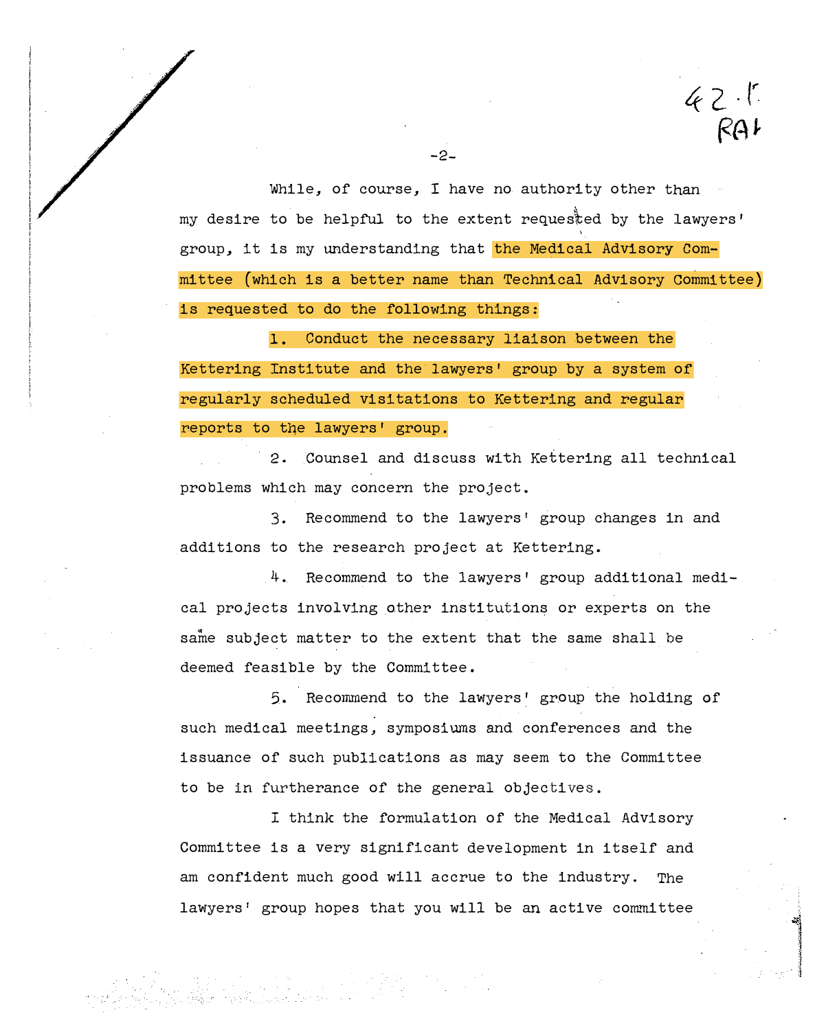While, of course, I have no authority other than my desire to be helpful to the extent reques�ed by the lawyers' group, it is my understanding that the Medical Advisory Committee (which is a better name than Technical Advisory Committee ) is requested to do the following things:

 $42.1$ 

1. Conduct the necessary liaison between the Kettering Institute and the lawyers' group by a system of regularly scheduled visitations to Kettering and regular reports to the lawyers' group.

-2-

2. Counsel and discuss with Kettering all technical problems which may concern the project.

3. Recommend to the lawyers' group changes in and additions to the research project at Kettering.

4. Recommend to the lawyers' group additional medical projects involving other institutions or experts on the same subject matter to the extent that the same shall be deemed feasible by the Committee.

5. Recommend to the lawyers' group the holding of such medical meetings, symposiums and conferences and the issuance of such publications as may seem to the Committee to be in furtherance of the general objectives.

I think the formulation of the Medical Advisory Committee is a very significant development in itself and am confident much good will accrue to the industry. The lawyers' group hopes that you will be an active committee